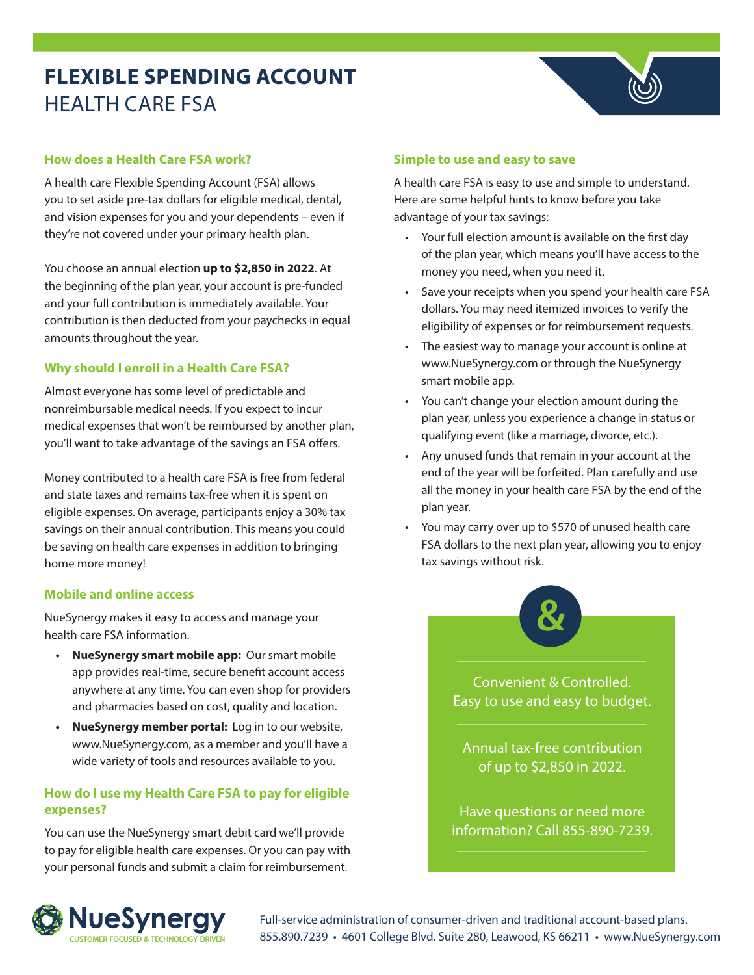# **FLEXIBLE SPENDING ACCOUNT** HEALTH CARE FSA

## **How does a Health Care FSA work?**

A health care Flexible Spending Account (FSA) allows you to set aside pre-tax dollars for eligible medical, dental, and vision expenses for you and your dependents – even if they're not covered under your primary health plan.

You choose an annual election **up to \$2,850 in 2022**. At the beginning of the plan year, your account is pre-funded and your full contribution is immediately available. Your contribution is then deducted from your paychecks in equal amounts throughout the year.

## **Why should I enroll in a Health Care FSA?**

Almost everyone has some level of predictable and nonreimbursable medical needs. If you expect to incur medical expenses that won't be reimbursed by another plan, you'll want to take advantage of the savings an FSA offers.

Money contributed to a health care FSA is free from federal and state taxes and remains tax-free when it is spent on eligible expenses. On average, participants enjoy a 30% tax savings on their annual contribution. This means you could be saving on health care expenses in addition to bringing home more money!

## **Mobile and online access**

NueSynergy makes it easy to access and manage your health care FSA information.

- **• NueSynergy smart mobile app:** Our smart mobile app provides real-time, secure benefit account access anywhere at any time. You can even shop for providers and pharmacies based on cost, quality and location.
- **• NueSynergy member portal:** Log in to our website, www.NueSynergy.com, as a member and you'll have a wide variety of tools and resources available to you.

# **How do I use my Health Care FSA to pay for eligible expenses?**

You can use the NueSynergy smart debit card we'll provide to pay for eligible health care expenses. Or you can pay with your personal funds and submit a claim for reimbursement.

## **Simple to use and easy to save**

A health care FSA is easy to use and simple to understand. Here are some helpful hints to know before you take advantage of your tax savings:

- Your full election amount is available on the first day of the plan year, which means you'll have access to the money you need, when you need it.
- Save your receipts when you spend your health care FSA dollars. You may need itemized invoices to verify the eligibility of expenses or for reimbursement requests.
- The easiest way to manage your account is online at www.NueSynergy.com or through the NueSynergy smart mobile app.
- You can't change your election amount during the plan year, unless you experience a change in status or qualifying event (like a marriage, divorce, etc.).
- Any unused funds that remain in your account at the end of the year will be forfeited. Plan carefully and use all the money in your health care FSA by the end of the plan year.
- You may carry over up to \$570 of unused health care FSA dollars to the next plan year, allowing you to enjoy tax savings without risk.



Convenient & Controlled. Easy to use and easy to budget.

Annual tax-free contribution of up to \$2,850 in 2022.

Have questions or need more information? Call 855-890-7239.



Full-service administration of consumer-driven and traditional account-based plans. **NUESY NETCHEREE 8666 FOR FULL SERVICE ADMINISTRATION** Full-service administration of consumer-driven and traditional account-based plans.<br>CUSTOMER FOCUSED & TECHNOLOGY DRIVEN 855.890.7239 • 4601 College Blvd. Suite 280, L